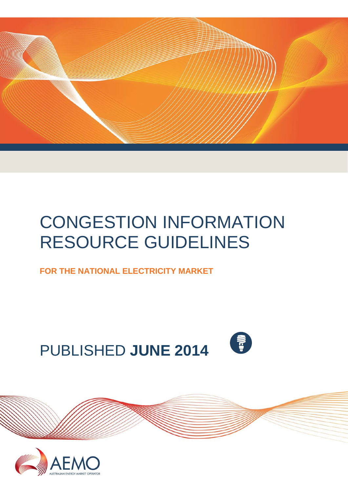

# CONGESTION INFORMATION RESOURCE GUIDELINES

**FOR THE NATIONAL ELECTRICITY MARKET**

PUBLISHED **JUNE 2014**



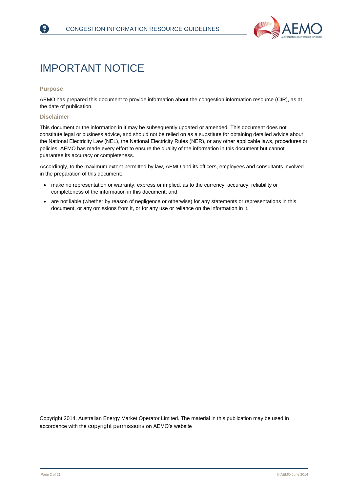

## <span id="page-1-0"></span>IMPORTANT NOTICE

#### **Purpose**

F)

AEMO has prepared this document to provide information about the congestion information resource (CIR), as at the date of publication.

#### **Disclaimer**

This document or the information in it may be subsequently updated or amended. This document does not constitute legal or business advice, and should not be relied on as a substitute for obtaining detailed advice about the National Electricity Law (NEL), the National Electricity Rules (NER), or any other applicable laws, procedures or policies. AEMO has made every effort to ensure the quality of the information in this document but cannot guarantee its accuracy or completeness.

Accordingly, to the maximum extent permitted by law, AEMO and its officers, employees and consultants involved in the preparation of this document:

- make no representation or warranty, express or implied, as to the currency, accuracy, reliability or completeness of the information in this document; and
- are not liable (whether by reason of negligence or otherwise) for any statements or representations in this document, or any omissions from it, or for any use or reliance on the information in it.

Copyright 2014. Australian Energy Market Operator Limited. The material in this publication may be used in accordance with the [copyright permissions](http://www.aemo.com.au/en/About-AEMO/Copyright-Permissions) on AEMO's website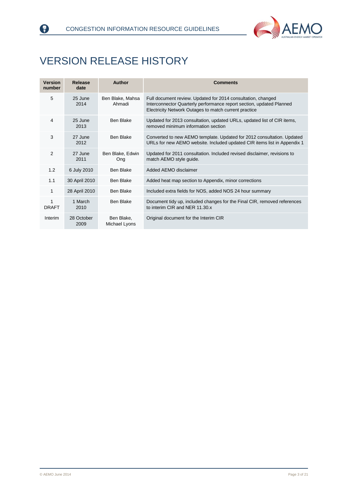



## <span id="page-2-0"></span>VERSION RELEASE HISTORY

| <b>Version</b><br>number | Release<br>date    | Author                      | <b>Comments</b>                                                                                                                                                                               |
|--------------------------|--------------------|-----------------------------|-----------------------------------------------------------------------------------------------------------------------------------------------------------------------------------------------|
| 5                        | 25 June<br>2014    | Ben Blake, Mahsa<br>Ahmadi  | Full document review. Updated for 2014 consultation, changed<br>Interconnector Quarterly performance report section, updated Planned<br>Electricity Network Outages to match current practice |
| 4                        | 25 June<br>2013    | Ben Blake                   | Updated for 2013 consultation, updated URLs, updated list of CIR items,<br>removed minimum information section                                                                                |
| 3                        | 27 June<br>2012    | Ben Blake                   | Converted to new AEMO template. Updated for 2012 consultation. Updated<br>URLs for new AEMO website. Included updated CIR items list in Appendix 1                                            |
| $\overline{2}$           | 27 June<br>2011    | Ben Blake, Edwin<br>Ong     | Updated for 2011 consultation. Included revised disclaimer, revisions to<br>match AEMO style guide.                                                                                           |
| 1.2                      | 6 July 2010        | Ben Blake                   | Added AEMO disclaimer                                                                                                                                                                         |
| 1.1                      | 30 April 2010      | Ben Blake                   | Added heat map section to Appendix, minor corrections                                                                                                                                         |
| 1                        | 28 April 2010      | <b>Ben Blake</b>            | Included extra fields for NOS, added NOS 24 hour summary                                                                                                                                      |
| 1<br><b>DRAFT</b>        | 1 March<br>2010    | Ben Blake                   | Document tidy up, included changes for the Final CIR, removed references<br>to interim CIR and NER 11.30.x                                                                                    |
| Interim                  | 28 October<br>2009 | Ben Blake,<br>Michael Lyons | Original document for the Interim CIR                                                                                                                                                         |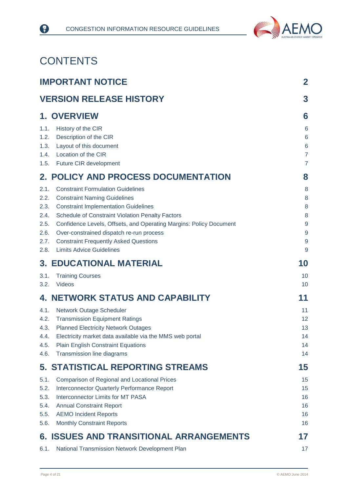

## **CONTENTS**

|              | <b>IMPORTANT NOTICE</b>                                                         | $\overline{2}$        |
|--------------|---------------------------------------------------------------------------------|-----------------------|
|              | <b>VERSION RELEASE HISTORY</b>                                                  | 3                     |
|              | <b>1. OVERVIEW</b>                                                              | 6                     |
| 1.1.         | History of the CIR                                                              | $6\phantom{1}6$       |
| 1.2.         | Description of the CIR                                                          | $6\phantom{1}6$       |
| 1.3.         | Layout of this document                                                         | $6\phantom{1}6$       |
| 1.4.         | Location of the CIR                                                             | $\overline{7}$        |
| 1.5.         | <b>Future CIR development</b>                                                   | $\overline{7}$        |
|              | <b>2. POLICY AND PROCESS DOCUMENTATION</b>                                      | 8                     |
| 2.1.         | <b>Constraint Formulation Guidelines</b>                                        | 8                     |
| 2.2.         | <b>Constraint Naming Guidelines</b>                                             | 8                     |
| 2.3.         | <b>Constraint Implementation Guidelines</b>                                     | 8                     |
| 2.4.         | Schedule of Constraint Violation Penalty Factors                                | 8                     |
| 2.5.         | Confidence Levels, Offsets, and Operating Margins: Policy Document              | $\boldsymbol{9}$      |
| 2.6.         | Over-constrained dispatch re-run process                                        | $\overline{9}$        |
| 2.7.<br>2.8. | <b>Constraint Frequently Asked Questions</b><br><b>Limits Advice Guidelines</b> | $\boldsymbol{9}$<br>9 |
|              | <b>3. EDUCATIONAL MATERIAL</b>                                                  | 10                    |
| 3.1.         | <b>Training Courses</b>                                                         | 10                    |
| 3.2.         | <b>Videos</b>                                                                   | 10                    |
|              | <b>4. NETWORK STATUS AND CAPABILITY</b>                                         | 11                    |
| 4.1.         | Network Outage Scheduler                                                        | 11                    |
| 4.2.         | <b>Transmission Equipment Ratings</b>                                           | 12                    |
| 4.3.         | <b>Planned Electricity Network Outages</b>                                      | 13                    |
| 4.4.         | Electricity market data available via the MMS web portal                        | 14                    |
| 4.5.         | <b>Plain English Constraint Equations</b>                                       | 14                    |
| 4.6.         | Transmission line diagrams                                                      | 14                    |
|              | 5. STATISTICAL REPORTING STREAMS                                                | 15                    |
| 5.1.         | <b>Comparison of Regional and Locational Prices</b>                             | 15                    |
| 5.2.         | <b>Interconnector Quarterly Performance Report</b>                              | 15                    |
| 5.3.         | Interconnector Limits for MT PASA                                               | 16                    |
| 5.4.         | <b>Annual Constraint Report</b>                                                 | 16                    |
| 5.5.<br>5.6. | <b>AEMO Incident Reports</b>                                                    | 16<br>16              |
|              | <b>Monthly Constraint Reports</b>                                               |                       |
|              | <b>6. ISSUES AND TRANSITIONAL ARRANGEMENTS</b>                                  | 17                    |
| 6.1.         | National Transmission Network Development Plan                                  | 17                    |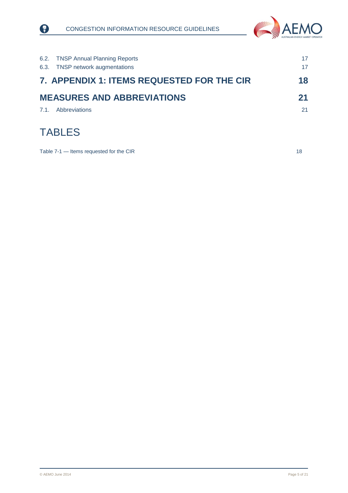



| 6.2. TNSP Annual Planning Reports<br><b>TNSP network augmentations</b><br>6.3. | 17<br>17 |
|--------------------------------------------------------------------------------|----------|
| 7. APPENDIX 1: ITEMS REQUESTED FOR THE CIR                                     | 18       |
| <b>MEASURES AND ABBREVIATIONS</b>                                              | 21       |
| Abbreviations<br>7.1.                                                          | 21       |
| <b>TABLES</b>                                                                  |          |

Table 7-1 — [Items requested for the CIR](#page-17-1) 18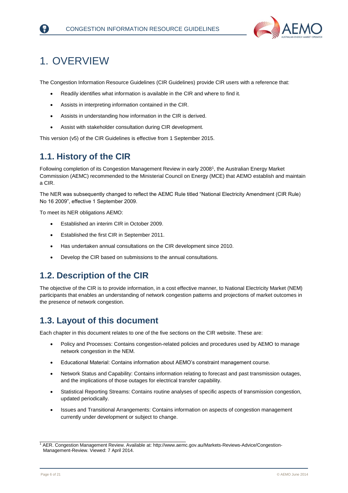

## <span id="page-5-0"></span>1. OVERVIEW

The Congestion Information Resource Guidelines (CIR Guidelines) provide CIR users with a reference that:

- Readily identifies what information is available in the CIR and where to find it.
- Assists in interpreting information contained in the CIR.
- Assists in understanding how information in the CIR is derived.
- Assist with stakeholder consultation during CIR development.

This version (v5) of the CIR Guidelines is effective from 1 September 2015.

### <span id="page-5-1"></span>**1.1. History of the CIR**

Following completion of its Congestion Management Review in early 2008<sup>1</sup>, the Australian Energy Market Commission (AEMC) recommended to the Ministerial Council on Energy (MCE) that AEMO establish and maintain a CIR.

The NER was subsequently changed to reflect the AEMC Rule titled "National Electricity Amendment (CIR Rule) No 16 2009", effective 1 September 2009.

To meet its NER obligations AEMO:

- Established an interim CIR in October 2009.
- Established the first CIR in September 2011.
- Has undertaken annual consultations on the CIR development since 2010.
- Develop the CIR based on submissions to the annual consultations.

### <span id="page-5-2"></span>**1.2. Description of the CIR**

The objective of the CIR is to provide information, in a cost effective manner, to National Electricity Market (NEM) participants that enables an understanding of network congestion patterns and projections of market outcomes in the presence of network congestion.

### <span id="page-5-3"></span>**1.3. Layout of this document**

\_\_\_\_\_\_\_\_\_\_\_\_\_\_\_\_\_\_\_\_\_\_\_\_\_\_\_\_\_\_\_\_\_\_\_\_\_\_\_\_\_\_\_\_\_\_\_\_\_\_

Each chapter in this document relates to one of the five sections on the CIR website. These are:

- Policy and Processes: Contains congestion-related policies and procedures used by AEMO to manage network congestion in the NEM.
- Educational Material: Contains information about AEMO's constraint management course.
- Network Status and Capability: Contains information relating to forecast and past transmission outages, and the implications of those outages for electrical transfer capability.
- Statistical Reporting Streams: Contains routine analyses of specific aspects of transmission congestion, updated periodically.
- Issues and Transitional Arrangements: Contains information on aspects of congestion management currently under development or subject to change.

<sup>1</sup> AER. Congestion Management Review. Available at: [http://www.aemc.gov.au/Markets-Reviews-Advice/Congestion-](http://www.aemc.gov.au/Markets-Reviews-Advice/Congestion-Management-Review)[Management-Review.](http://www.aemc.gov.au/Markets-Reviews-Advice/Congestion-Management-Review) Viewed: 7 April 2014.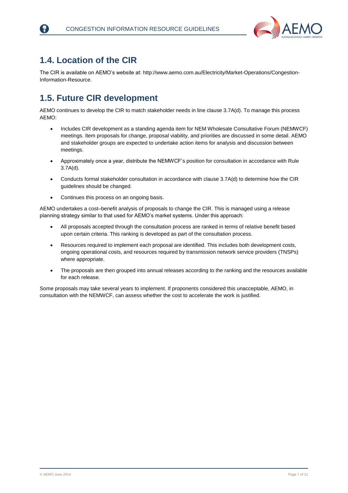

### <span id="page-6-0"></span>**1.4. Location of the CIR**

The CIR is available on AEMO's website at[: http://www.aemo.com.au/Electricity/Market-Operations/Congestion-](http://www.aemo.com.au/Electricity/Market-Operations/Congestion-Information-Resource)[Information-Resource.](http://www.aemo.com.au/Electricity/Market-Operations/Congestion-Information-Resource)

### <span id="page-6-1"></span>**1.5. Future CIR development**

AEMO continues to develop the CIR to match stakeholder needs in line clause 3.7A(d). To manage this process AEMO:

- Includes CIR development as a standing agenda item for NEM Wholesale Consultative Forum (NEMWCF) meetings. Item proposals for change, proposal viability, and priorities are discussed in some detail. AEMO and stakeholder groups are expected to undertake action items for analysis and discussion between meetings.
- Approximately once a year, distribute the NEMWCF's position for consultation in accordance with Rule 3.7A(d).
- Conducts formal stakeholder consultation in accordance with clause 3.7A(d) to determine how the CIR guidelines should be changed.
- Continues this process on an ongoing basis.

AEMO undertakes a cost–benefit analysis of proposals to change the CIR. This is managed using a release planning strategy similar to that used for AEMO's market systems. Under this approach:

- All proposals accepted through the consultation process are ranked in terms of relative benefit based upon certain criteria. This ranking is developed as part of the consultation process.
- Resources required to implement each proposal are identified. This includes both development costs, ongoing operational costs, and resources required by transmission network service providers (TNSPs) where appropriate.
- The proposals are then grouped into annual releases according to the ranking and the resources available for each release.

Some proposals may take several years to implement. If proponents considered this unacceptable, AEMO, in consultation with the NEMWCF, can assess whether the cost to accelerate the work is justified.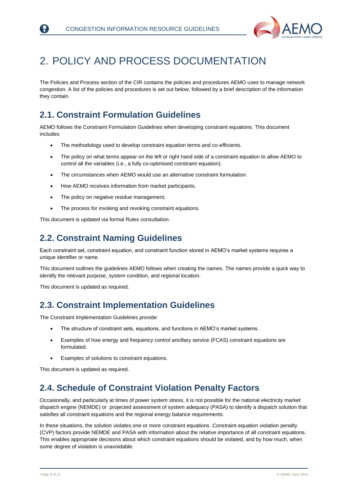

## <span id="page-7-0"></span>2. POLICY AND PROCESS DOCUMENTATION

The Policies and Process section of the CIR contains the policies and procedures AEMO uses to manage network congestion. A list of the policies and procedures is set out below, followed by a brief description of the information they contain.

### <span id="page-7-1"></span>**2.1. Constraint Formulation Guidelines**

AEMO follows the Constraint Formulation Guidelines when developing constraint equations. This document includes:

- The methodology used to develop constraint equation terms and co-efficients.
- The policy on what terms appear on the left or right hand side of a constraint equation to allow AEMO to control all the variables (i.e., a fully co-optimised constraint equation).
- The circumstances when AEMO would use an alternative constraint formulation.
- How AEMO receives information from market participants.
- The policy on negative residue management.
- The process for invoking and revoking constraint equations.

This document is updated via formal Rules consultation.

### <span id="page-7-2"></span>**2.2. Constraint Naming Guidelines**

Each constraint set, constraint equation, and constraint function stored in AEMO's market systems requires a unique identifier or name.

This document outlines the guidelines AEMO follows when creating the names. The names provide a quick way to identify the relevant purpose, system condition, and regional location.

This document is updated as required.

### <span id="page-7-3"></span>**2.3. Constraint Implementation Guidelines**

The Constraint Implementation Guidelines provide:

- The structure of constraint sets, equations, and functions in AEMO's market systems.
- Examples of how energy and frequency control ancillary service (FCAS) constraint equations are formulated.
- Examples of solutions to constraint equations.

This document is updated as required.

### <span id="page-7-4"></span>**2.4. Schedule of Constraint Violation Penalty Factors**

Occasionally, and particularly at times of power system stress, it is not possible for the national electricity market dispatch engine (NEMDE) or projected assessment of system adequacy (PASA) to identify a dispatch solution that satisfies all constraint equations and the regional energy balance requirements.

In these situations, the solution violates one or more constraint equations. Constraint equation violation penalty (CVP) factors provide NEMDE and PASA with information about the relative importance of all constraint equations. This enables appropriate decisions about which constraint equations should be violated, and by how much, when some degree of violation is unavoidable.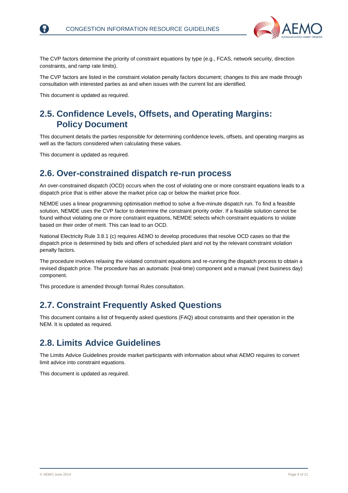

The CVP factors determine the priority of constraint equations by type (e.g., FCAS, network security, direction constraints, and ramp rate limits).

The CVP factors are listed in the constraint violation penalty factors document; changes to this are made through consultation with interested parties as and when issues with the current list are identified.

This document is updated as required.

### <span id="page-8-0"></span>**2.5. Confidence Levels, Offsets, and Operating Margins: Policy Document**

This document details the parties responsible for determining confidence levels, offsets, and operating margins as well as the factors considered when calculating these values.

This document is updated as required.

### <span id="page-8-1"></span>**2.6. Over-constrained dispatch re-run process**

An over-constrained dispatch (OCD) occurs when the cost of violating one or more constraint equations leads to a dispatch price that is either above the market price cap or below the market price floor.

NEMDE uses a linear programming optimisation method to solve a five-minute dispatch run. To find a feasible solution, NEMDE uses the CVP factor to determine the constraint priority order. If a feasible solution cannot be found without violating one or more constraint equations, NEMDE selects which constraint equations to violate based on their order of merit. This can lead to an OCD.

National Electricity Rule 3.8.1 (c) requires AEMO to develop procedures that resolve OCD cases so that the dispatch price is determined by bids and offers of scheduled plant and not by the relevant constraint violation penalty factors.

The procedure involves relaxing the violated constraint equations and re-running the dispatch process to obtain a revised dispatch price. The procedure has an automatic (real-time) component and a manual (next business day) component.

This procedure is amended through formal Rules consultation.

### <span id="page-8-2"></span>**2.7. Constraint Frequently Asked Questions**

This document contains a list of frequently asked questions (FAQ) about constraints and their operation in the NEM. It is updated as required.

### <span id="page-8-3"></span>**2.8. Limits Advice Guidelines**

The Limits Advice Guidelines provide market participants with information about what AEMO requires to convert limit advice into constraint equations.

This document is updated as required.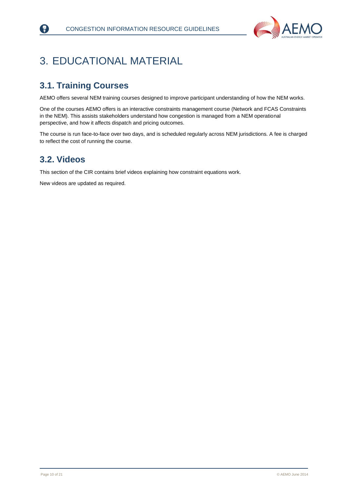

## <span id="page-9-0"></span>3. EDUCATIONAL MATERIAL

### <span id="page-9-1"></span>**3.1. Training Courses**

AEMO offers several NEM training courses designed to improve participant understanding of how the NEM works.

One of the courses AEMO offers is an interactive constraints management course (Network and FCAS Constraints in the NEM). This assists stakeholders understand how congestion is managed from a NEM operational perspective, and how it affects dispatch and pricing outcomes.

The course is run face-to-face over two days, and is scheduled regularly across NEM jurisdictions. A fee is charged to reflect the cost of running the course.

### <span id="page-9-2"></span>**3.2. Videos**

R)

This section of the CIR contains brief videos explaining how constraint equations work.

New videos are updated as required.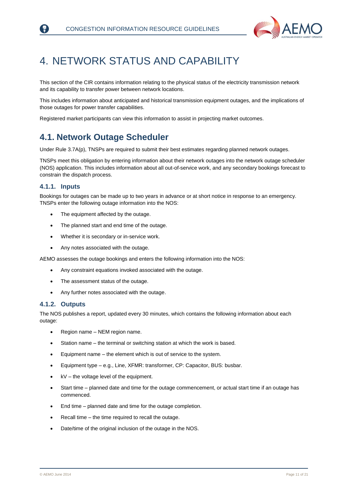

## <span id="page-10-0"></span>4. NETWORK STATUS AND CAPABILITY

This section of the CIR contains information relating to the physical status of the electricity transmission network and its capability to transfer power between network locations.

This includes information about anticipated and historical transmission equipment outages, and the implications of those outages for power transfer capabilities.

Registered market participants can view this information to assist in projecting market outcomes.

### <span id="page-10-1"></span>**4.1. Network Outage Scheduler**

Under Rule 3.7A(p), TNSPs are required to submit their best estimates regarding planned network outages.

TNSPs meet this obligation by entering information about their network outages into the network outage scheduler (NOS) application. This includes information about all out-of-service work, and any secondary bookings forecast to constrain the dispatch process.

#### **4.1.1. Inputs**

Bookings for outages can be made up to two years in advance or at short notice in response to an emergency. TNSPs enter the following outage information into the NOS:

- The equipment affected by the outage.
- The planned start and end time of the outage.
- Whether it is secondary or in-service work.
- Any notes associated with the outage.

AEMO assesses the outage bookings and enters the following information into the NOS:

- Any constraint equations invoked associated with the outage.
- The assessment status of the outage.
- Any further notes associated with the outage.

#### **4.1.2. Outputs**

The NOS publishes a report, updated every 30 minutes, which contains the following information about each outage:

- Region name NEM region name.
- Station name the terminal or switching station at which the work is based.
- Equipment name the element which is out of service to the system.
- Equipment type e.g., Line, XFMR: transformer, CP: Capacitor, BUS: busbar.
- kV the voltage level of the equipment.
- Start time planned date and time for the outage commencement, or actual start time if an outage has commenced.
- End time planned date and time for the outage completion.
- Recall time the time required to recall the outage.
- Date/time of the original inclusion of the outage in the NOS.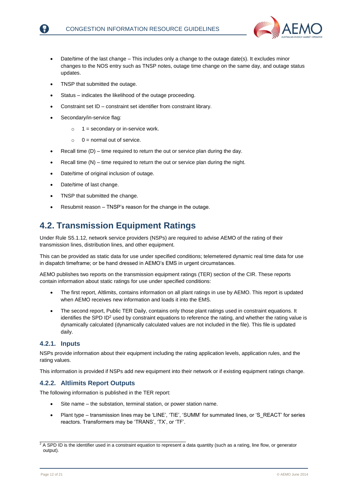

- Date/time of the last change This includes only a change to the outage date(s). It excludes minor changes to the NOS entry such as TNSP notes, outage time change on the same day, and outage status updates.
- TNSP that submitted the outage.
- Status indicates the likelihood of the outage proceeding.
- Constraint set ID constraint set identifier from constraint library.
- Secondary/in-service flag:
	- $\circ$  1 = secondary or in-service work.
	- $0 =$  normal out of service.
- Recall time (D) time required to return the out or service plan during the day.
- Recall time (N) time required to return the out or service plan during the night.
- Date/time of original inclusion of outage.
- Date/time of last change.
- TNSP that submitted the change.
- Resubmit reason TNSP's reason for the change in the outage.

### <span id="page-11-0"></span>**4.2. Transmission Equipment Ratings**

Under Rule S5.1.12, network service providers (NSPs) are required to advise AEMO of the rating of their transmission lines, distribution lines, and other equipment.

This can be provided as static data for use under specified conditions; telemetered dynamic real time data for use in dispatch timeframe; or be hand dressed in AEMO's EMS in urgent circumstances.

AEMO publishes two reports on the transmission equipment ratings (TER) section of the CIR. These reports contain information about static ratings for use under specified conditions:

- The first report, Altlimits, contains information on all plant ratings in use by AEMO. This report is updated when AEMO receives new information and loads it into the EMS.
- The second report, Public TER Daily, contains only those plant ratings used in constraint equations. It identifies the SPD ID<sup>2</sup> used by constraint equations to reference the rating, and whether the rating value is dynamically calculated (dynamically calculated values are not included in the file). This file is updated daily.

#### **4.2.1. Inputs**

NSPs provide information about their equipment including the rating application levels, application rules, and the rating values.

This information is provided if NSPs add new equipment into their network or if existing equipment ratings change.

#### **4.2.2. Altlimits Report Outputs**

The following information is published in the TER report:

\_\_\_\_\_\_\_\_\_\_\_\_\_\_\_\_\_\_\_\_\_\_\_\_\_\_\_\_\_\_\_\_\_\_\_\_\_\_\_\_\_\_\_\_\_\_\_\_\_\_

- Site name the substation, terminal station, or power station name.
- Plant type transmission lines may be 'LINE', 'TIE', 'SUMM' for summated lines, or 'S\_REACT' for series reactors. Transformers may be 'TRANS', 'TX', or 'TF'.

 $2$  A SPD ID is the identifier used in a constraint equation to represent a data quantity (such as a rating, line flow, or generator output).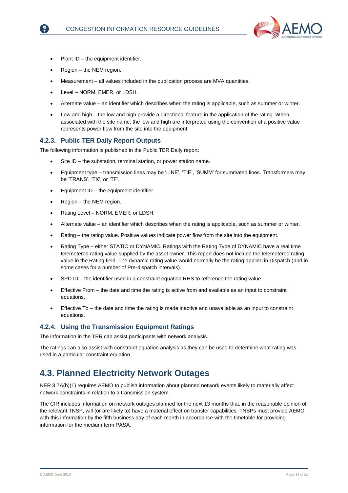

- Plant ID the equipment identifier.
- Region the NEM region.
- Measurement all values included in the publication process are MVA quantities.
- Level NORM, EMER, or LDSH.
- Alternate value an identifier which describes when the rating is applicable, such as summer or winter.
- Low and high the low and high provide a directional feature in the application of the rating. When associated with the site name, the low and high are interpreted using the convention of a positive value represents power flow from the site into the equipment.

#### **4.2.3. Public TER Daily Report Outputs**

The following information is published in the Public TER Daily report:

- Site ID the substation, terminal station, or power station name.
- Equipment type transmission lines may be 'LINE', 'TIE', 'SUMM' for summated lines. Transformers may be 'TRANS', 'TX', or 'TF'.
- Equipment ID the equipment identifier.
- Region the NEM region.
- Rating Level NORM, EMER, or LDSH.
- Alternate value an identifier which describes when the rating is applicable, such as summer or winter.
- Rating the rating value. Positive values indicate power flow from the site into the equipment.
- Rating Type either STATIC or DYNAMIC. Ratings with the Rating Type of DYNAMIC have a real time telemetered rating value supplied by the asset owner. This report does not include the telemetered rating value in the Rating field. The dynamic rating value would normally be the rating applied in Dispatch (and in some cases for a number of Pre-dispatch intervals).
- SPD ID the identifier used in a constraint equation RHS to reference the rating value.
- Effective From the date and time the rating is active from and available as an input to constraint equations.
- Effective To the date and time the rating is made inactive and unavailable as an input to constraint equations.

#### **4.2.4. Using the Transmission Equipment Ratings**

The information in the TER can assist participants with network analysis.

The ratings can also assist with constraint equation analysis as they can be used to determine what rating was used in a particular constraint equation.

### <span id="page-12-0"></span>**4.3. Planned Electricity Network Outages**

NER 3.7A(b)(1) requires AEMO to publish information about planned network events likely to materially affect network constraints in relation to a transmission system.

The CIR includes information on network outages planned for the next 13 months that, in the reasonable opinion of the relevant TNSP, will (or are likely to) have a material effect on transfer capabilities. TNSPs must provide AEMO with this information by the fifth business day of each month in accordance with the timetable for providing information for the medium term PASA.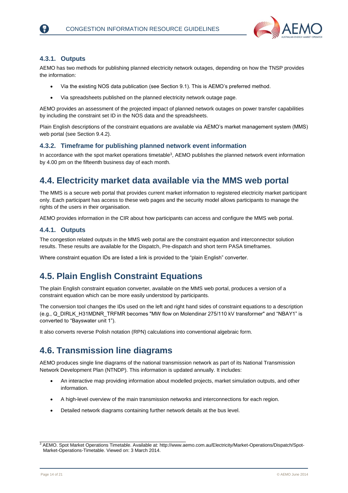

#### **4.3.1. Outputs**

AEMO has two methods for publishing planned electricity network outages, depending on how the TNSP provides the information:

- Via the existing NOS data publication (see Section 9.1). This is AEMO's preferred method.
- Via spreadsheets published on the planned electricity network outage page.

AEMO provides an assessment of the projected impact of planned network outages on power transfer capabilities by including the constraint set ID in the NOS data and the spreadsheets.

Plain English descriptions of the constraint equations are available via AEMO's market management system (MMS) web portal (see Section 9.4.2).

#### **4.3.2. Timeframe for publishing planned network event information**

In accordance with the spot market operations timetable<sup>3</sup>, AEMO publishes the planned network event information by 4.00 pm on the fifteenth business day of each month.

### <span id="page-13-0"></span>**4.4. Electricity market data available via the MMS web portal**

The MMS is a secure web portal that provides current market information to registered electricity market participant only. Each participant has access to these web pages and the security model allows participants to manage the rights of the users in their organisation.

AEMO provides information in the CIR about how participants can access and configure the MMS web portal.

#### **4.4.1. Outputs**

The congestion related outputs in the MMS web portal are the constraint equation and interconnector solution results. These results are available for the Dispatch, Pre-dispatch and short term PASA timeframes.

Where constraint equation IDs are listed a link is provided to the "plain English" converter.

### <span id="page-13-1"></span>**4.5. Plain English Constraint Equations**

The plain English constraint equation converter, available on the MMS web portal, produces a version of a constraint equation which can be more easily understood by participants.

The conversion tool changes the IDs used on the left and right hand sides of constraint equations to a description (e.g., Q\_DIRLK\_H31MDNR\_TRFMR becomes "MW flow on Molendinar 275/110 kV transformer" and "NBAY1" is converted to "Bayswater unit 1").

It also converts reverse Polish notation (RPN) calculations into conventional algebraic form.

### <span id="page-13-2"></span>**4.6. Transmission line diagrams**

\_\_\_\_\_\_\_\_\_\_\_\_\_\_\_\_\_\_\_\_\_\_\_\_\_\_\_\_\_\_\_\_\_\_\_\_\_\_\_\_\_\_\_\_\_\_\_\_\_\_

AEMO produces single line diagrams of the national transmission network as part of its National Transmission Network Development Plan (NTNDP). This information is updated annually. It includes:

- An interactive map providing information about modelled projects, market simulation outputs, and other information.
- A high-level overview of the main transmission networks and interconnections for each region.
- Detailed network diagrams containing further network details at the bus level.

<sup>3</sup> AEMO. Spot Market Operations Timetable. Available at: [http://www.aemo.com.au/Electricity/Market-Operations/Dispatch/Spot-](http://www.aemo.com.au/Electricity/Market-Operations/Dispatch/Spot-Market-Operations-Timetable)[Market-Operations-Timetable.](http://www.aemo.com.au/Electricity/Market-Operations/Dispatch/Spot-Market-Operations-Timetable) Viewed on: 3 March 2014.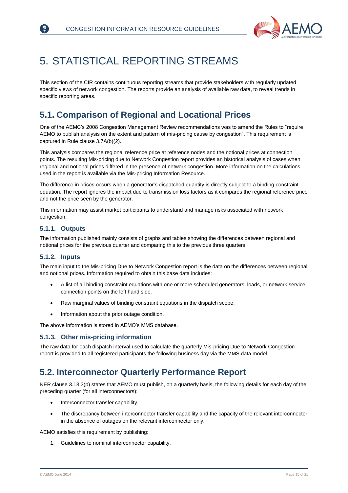

## <span id="page-14-0"></span>5. STATISTICAL REPORTING STREAMS

This section of the CIR contains continuous reporting streams that provide stakeholders with regularly updated specific views of network congestion. The reports provide an analysis of available raw data, to reveal trends in specific reporting areas.

### <span id="page-14-1"></span>**5.1. Comparison of Regional and Locational Prices**

One of the AEMC's 2008 Congestion Management Review recommendations was to amend the Rules to "require AEMO to publish analysis on the extent and pattern of mis-pricing cause by congestion". This requirement is captured in Rule clause 3.7A(b)(2).

This analysis compares the regional reference price at reference nodes and the notional prices at connection points. The resulting Mis-pricing due to Network Congestion report provides an historical analysis of cases when regional and notional prices differed in the presence of network congestion. More information on the calculations used in the report is available via the Mis-pricing Information Resource.

The difference in prices occurs when a generator's dispatched quantity is directly subject to a binding constraint equation. The report ignores the impact due to transmission loss factors as it compares the regional reference price and not the price seen by the generator.

This information may assist market participants to understand and manage risks associated with network congestion.

#### **5.1.1. Outputs**

The information published mainly consists of graphs and tables showing the differences between regional and notional prices for the previous quarter and comparing this to the previous three quarters.

#### **5.1.2. Inputs**

The main input to the Mis-pricing Due to Network Congestion report is the data on the differences between regional and notional prices. Information required to obtain this base data includes:

- A list of all binding constraint equations with one or more scheduled generators, loads, or network service connection points on the left hand side.
- Raw marginal values of binding constraint equations in the dispatch scope.
- Information about the prior outage condition.

The above information is stored in AEMO's MMS database.

#### **5.1.3. Other mis-pricing information**

The raw data for each dispatch interval used to calculate the quarterly Mis-pricing Due to Network Congestion report is provided to all registered participants the following business day via the MMS data model.

### <span id="page-14-2"></span>**5.2. Interconnector Quarterly Performance Report**

NER clause 3.13.3(p) states that AEMO must publish, on a quarterly basis, the following details for each day of the preceding quarter (for all interconnectors):

- Interconnector transfer capability.
- The discrepancy between interconnector transfer capability and the capacity of the relevant interconnector in the absence of outages on the relevant interconnector only.

AEMO satisfies this requirement by publishing:

1. Guidelines to nominal interconnector capability.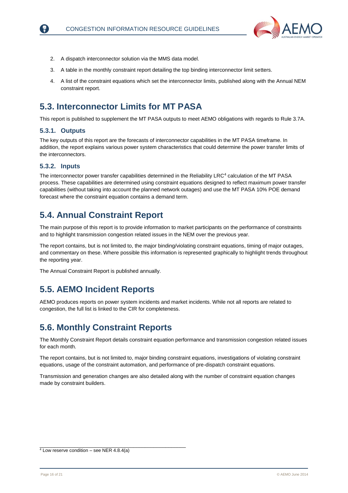

- 2. A dispatch interconnector solution via the MMS data model.
- 3. A table in the monthly constraint report detailing the top binding interconnector limit setters.
- 4. A list of the constraint equations which set the interconnector limits, published along with the Annual NEM constraint report.

### <span id="page-15-0"></span>**5.3. Interconnector Limits for MT PASA**

This report is published to supplement the MT PASA outputs to meet AEMO obligations with regards to Rule 3.7A.

#### **5.3.1. Outputs**

The key outputs of this report are the forecasts of interconnector capabilities in the MT PASA timeframe. In addition, the report explains various power system characteristics that could determine the power transfer limits of the interconnectors.

#### **5.3.2. Inputs**

The interconnector power transfer capabilities determined in the Reliability LRC<sup>4</sup> calculation of the MT PASA process. These capabilities are determined using constraint equations designed to reflect maximum power transfer capabilities (without taking into account the planned network outages) and use the MT PASA 10% POE demand forecast where the constraint equation contains a demand term.

### <span id="page-15-1"></span>**5.4. Annual Constraint Report**

The main purpose of this report is to provide information to market participants on the performance of constraints and to highlight transmission congestion related issues in the NEM over the previous year.

The report contains, but is not limited to, the major binding/violating constraint equations, timing of major outages, and commentary on these. Where possible this information is represented graphically to highlight trends throughout the reporting year.

The Annual Constraint Report is published annually.

### <span id="page-15-2"></span>**5.5. AEMO Incident Reports**

AEMO produces reports on power system incidents and market incidents. While not all reports are related to congestion, the full list is linked to the CIR for completeness.

### <span id="page-15-3"></span>**5.6. Monthly Constraint Reports**

The Monthly Constraint Report details constraint equation performance and transmission congestion related issues for each month.

The report contains, but is not limited to, major binding constraint equations, investigations of violating constraint equations, usage of the constraint automation, and performance of pre-dispatch constraint equations.

Transmission and generation changes are also detailed along with the number of constraint equation changes made by constraint builders.

\_\_\_\_\_\_\_\_\_\_\_\_\_\_\_\_\_\_\_\_\_\_\_\_\_\_\_\_\_\_\_\_\_\_\_\_\_\_\_\_\_\_\_\_\_\_\_\_\_\_

 $4$  Low reserve condition – see NER 4.8.4(a)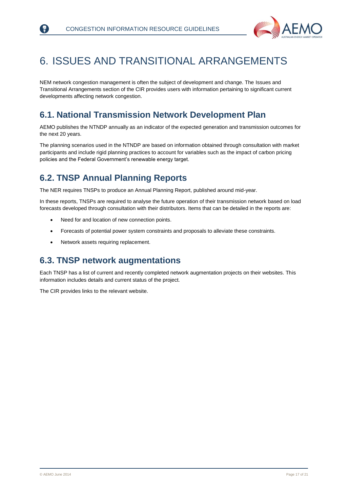

## <span id="page-16-0"></span>6. ISSUES AND TRANSITIONAL ARRANGEMENTS

NEM network congestion management is often the subject of development and change. The Issues and Transitional Arrangements section of the CIR provides users with information pertaining to significant current developments affecting network congestion.

### <span id="page-16-1"></span>**6.1. National Transmission Network Development Plan**

AEMO publishes the NTNDP annually as an indicator of the expected generation and transmission outcomes for the next 20 years.

The planning scenarios used in the NTNDP are based on information obtained through consultation with market participants and include rigid planning practices to account for variables such as the impact of carbon pricing policies and the Federal Government's renewable energy target.

### <span id="page-16-2"></span>**6.2. TNSP Annual Planning Reports**

The NER requires TNSPs to produce an Annual Planning Report, published around mid-year.

In these reports, TNSPs are required to analyse the future operation of their transmission network based on load forecasts developed through consultation with their distributors. Items that can be detailed in the reports are:

- Need for and location of new connection points.
- Forecasts of potential power system constraints and proposals to alleviate these constraints.
- Network assets requiring replacement.

### <span id="page-16-3"></span>**6.3. TNSP network augmentations**

Each TNSP has a list of current and recently completed network augmentation projects on their websites. This information includes details and current status of the project.

The CIR provides links to the relevant website.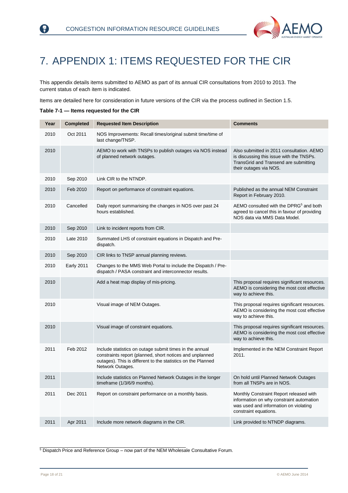

## <span id="page-17-0"></span>7. APPENDIX 1: ITEMS REQUESTED FOR THE CIR

This appendix details items submitted to AEMO as part of its annual CIR consultations from 2010 to 2013. The current status of each item is indicated.

Items are detailed here for consideration in future versions of the CIR via the process outlined in Section [1.5.](#page-6-1)

<span id="page-17-1"></span>**Table 7-1 — Items requested for the CIR**

R)

| Year | <b>Completed</b>  | <b>Requested Item Description</b>                                                                                                                                                                       | <b>Comments</b>                                                                                                                                          |
|------|-------------------|---------------------------------------------------------------------------------------------------------------------------------------------------------------------------------------------------------|----------------------------------------------------------------------------------------------------------------------------------------------------------|
| 2010 | Oct 2011          | NOS Improvements: Recall times/original submit time/time of<br>last change/TNSP.                                                                                                                        |                                                                                                                                                          |
| 2010 |                   | AEMO to work with TNSPs to publish outages via NOS instead<br>of planned network outages.                                                                                                               | Also submitted in 2011 consultation. AEMO<br>is discussing this issue with the TNSPs.<br>TransGrid and Transend are submitting<br>their outages via NOS. |
| 2010 | Sep 2010          | Link CIR to the NTNDP.                                                                                                                                                                                  |                                                                                                                                                          |
| 2010 | Feb 2010          | Report on performance of constraint equations.                                                                                                                                                          | Published as the annual NEM Constraint<br>Report in February 2010.                                                                                       |
| 2010 | Cancelled         | Daily report summarising the changes in NOS over past 24<br>hours established.                                                                                                                          | AEMO consulted with the DPRG <sup>5</sup> and both<br>agreed to cancel this in favour of providing<br>NOS data via MMS Data Model.                       |
| 2010 | Sep 2010          | Link to incident reports from CIR.                                                                                                                                                                      |                                                                                                                                                          |
| 2010 | Late 2010         | Summated LHS of constraint equations in Dispatch and Pre-<br>dispatch.                                                                                                                                  |                                                                                                                                                          |
| 2010 | Sep 2010          | CIR links to TNSP annual planning reviews.                                                                                                                                                              |                                                                                                                                                          |
| 2010 | <b>Early 2011</b> | Changes to the MMS Web Portal to include the Dispatch / Pre-<br>dispatch / PASA constraint and interconnector results.                                                                                  |                                                                                                                                                          |
| 2010 |                   | Add a heat map display of mis-pricing.                                                                                                                                                                  | This proposal requires significant resources.<br>AEMO is considering the most cost effective<br>way to achieve this.                                     |
| 2010 |                   | Visual image of NEM Outages.                                                                                                                                                                            | This proposal requires significant resources.<br>AEMO is considering the most cost effective<br>way to achieve this.                                     |
| 2010 |                   | Visual image of constraint equations.                                                                                                                                                                   | This proposal requires significant resources.<br>AEMO is considering the most cost effective<br>way to achieve this.                                     |
| 2011 | Feb 2012          | Include statistics on outage submit times in the annual<br>constraints report (planned, short notices and unplanned<br>outages). This is different to the statistics on the Planned<br>Network Outages. | Implemented in the NEM Constraint Report<br>2011.                                                                                                        |
| 2011 |                   | Include statistics on Planned Network Outages in the longer<br>timeframe (1/3/6/9 months).                                                                                                              | On hold until Planned Network Outages<br>from all TNSPs are in NOS.                                                                                      |
| 2011 | Dec 2011          | Report on constraint performance on a monthly basis.                                                                                                                                                    | Monthly Constraint Report released with<br>information on why constraint automation<br>was used and information on violating<br>constraint equations.    |
| 2011 | Apr 2011          | Include more network diagrams in the CIR.                                                                                                                                                               | Link provided to NTNDP diagrams.                                                                                                                         |

 $5$  Dispatch Price and Reference Group – now part of the NEM Wholesale Consultative Forum.

\_\_\_\_\_\_\_\_\_\_\_\_\_\_\_\_\_\_\_\_\_\_\_\_\_\_\_\_\_\_\_\_\_\_\_\_\_\_\_\_\_\_\_\_\_\_\_\_\_\_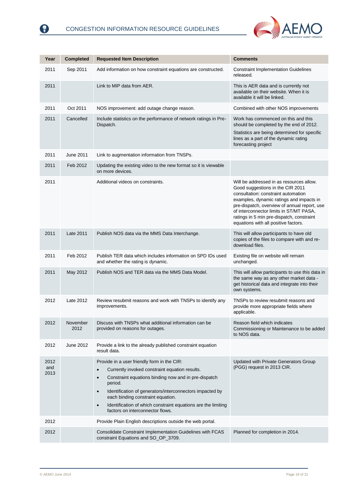

| Year                | <b>Completed</b> | <b>Requested Item Description</b>                                                                                                                                                                                                                                                                                                                                                                             | <b>Comments</b>                                                                                                                                                                                                                                                                                                                                 |
|---------------------|------------------|---------------------------------------------------------------------------------------------------------------------------------------------------------------------------------------------------------------------------------------------------------------------------------------------------------------------------------------------------------------------------------------------------------------|-------------------------------------------------------------------------------------------------------------------------------------------------------------------------------------------------------------------------------------------------------------------------------------------------------------------------------------------------|
| 2011                | Sep 2011         | Add information on how constraint equations are constructed.                                                                                                                                                                                                                                                                                                                                                  | <b>Constraint Implementation Guidelines</b><br>released.                                                                                                                                                                                                                                                                                        |
| 2011                |                  | Link to MIP data from AER.                                                                                                                                                                                                                                                                                                                                                                                    | This is AER data and is currently not<br>available on their website. When it is<br>available it will be linked.                                                                                                                                                                                                                                 |
| 2011                | Oct 2011         | NOS improvement: add outage change reason.                                                                                                                                                                                                                                                                                                                                                                    | Combined with other NOS improvements                                                                                                                                                                                                                                                                                                            |
| 2011                | Cancelled        | Include statistics on the performance of network ratings in Pre-<br>Dispatch.                                                                                                                                                                                                                                                                                                                                 | Work has commenced on this and this<br>should be completed by the end of 2012.<br>Statistics are being determined for specific                                                                                                                                                                                                                  |
|                     |                  |                                                                                                                                                                                                                                                                                                                                                                                                               | lines as a part of the dynamic rating<br>forecasting project                                                                                                                                                                                                                                                                                    |
| 2011                | <b>June 2011</b> | Link to augmentation information from TNSPs.                                                                                                                                                                                                                                                                                                                                                                  |                                                                                                                                                                                                                                                                                                                                                 |
| 2011                | Feb 2012         | Updating the existing video to the new format so it is viewable<br>on more devices.                                                                                                                                                                                                                                                                                                                           |                                                                                                                                                                                                                                                                                                                                                 |
| 2011                |                  | Additional videos on constraints.                                                                                                                                                                                                                                                                                                                                                                             | Will be addressed in as resources allow.<br>Good suggestions in the CIR 2011<br>consultation: constraint automation<br>examples, dynamic ratings and impacts in<br>pre-dispatch, overview of annual report, use<br>of interconnector limits in ST/MT PASA,<br>ratings in 5 min pre-dispatch, constraint<br>equations with all positive factors. |
| 2011                | Late 2011        | Publish NOS data via the MMS Data Interchange.                                                                                                                                                                                                                                                                                                                                                                | This will allow participants to have old<br>copies of the files to compare with and re-<br>download files.                                                                                                                                                                                                                                      |
| 2011                | Feb 2012         | Publish TER data which includes information on SPD IDs used<br>and whether the rating is dynamic.                                                                                                                                                                                                                                                                                                             | Existing file on website will remain<br>unchanged.                                                                                                                                                                                                                                                                                              |
| 2011                | May 2012         | Publish NOS and TER data via the MMS Data Model.                                                                                                                                                                                                                                                                                                                                                              | This will allow participants to use this data in<br>the same way as any other market data -<br>get historical data and integrate into their<br>own systems.                                                                                                                                                                                     |
| 2012                | Late 2012        | Review resubmit reasons and work with TNSPs to identify any<br>improvements.                                                                                                                                                                                                                                                                                                                                  | TNSPs to review resubmit reasons and<br>provide more appropriate fields where<br>applicable.                                                                                                                                                                                                                                                    |
| 2012                | November<br>2012 | Discuss with TNSPs what additional information can be<br>provided on reasons for outages.                                                                                                                                                                                                                                                                                                                     | Reason field which indicates<br>Commissioning or Maintenance to be added<br>to NOS data.                                                                                                                                                                                                                                                        |
| 2012                | June 2012        | Provide a link to the already published constraint equation<br>result data.                                                                                                                                                                                                                                                                                                                                   |                                                                                                                                                                                                                                                                                                                                                 |
| 2012<br>and<br>2013 |                  | Provide in a user friendly form in the CIR:<br>Currently invoked constraint equation results.<br>Constraint equations binding now and in pre-dispatch<br>$\bullet$<br>period.<br>Identification of generators/interconnectors impacted by<br>$\bullet$<br>each binding constraint equation.<br>Identification of which constraint equations are the limiting<br>$\bullet$<br>factors on interconnector flows. | Updated with Private Generators Group<br>(PGG) request in 2013 CIR.                                                                                                                                                                                                                                                                             |
| 2012                |                  | Provide Plain English descriptions outside the web portal.                                                                                                                                                                                                                                                                                                                                                    |                                                                                                                                                                                                                                                                                                                                                 |
| 2012                |                  | Consolidate Constraint Implementation Guidelines with FCAS<br>constraint Equations and SO_OP_3709.                                                                                                                                                                                                                                                                                                            | Planned for completion in 2014.                                                                                                                                                                                                                                                                                                                 |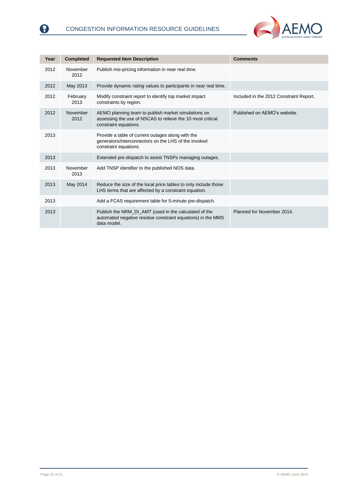

| Year | <b>Completed</b> | <b>Requested Item Description</b>                                                                                                          | <b>Comments</b>                         |
|------|------------------|--------------------------------------------------------------------------------------------------------------------------------------------|-----------------------------------------|
| 2012 | November<br>2012 | Publish mis-pricing information in near real time.                                                                                         |                                         |
| 2012 | May 2013         | Provide dynamic rating values to participants in near real time.                                                                           |                                         |
| 2012 | February<br>2013 | Modify constraint report to identify top market impact<br>constraints by region.                                                           | Included in the 2012 Constraint Report. |
| 2012 | November<br>2012 | AEMO planning team to publish market simulations on<br>assessing the use of NSCAS to relieve the 10 most critical<br>constraint equations. | Published on AEMO's website.            |
| 2013 |                  | Provide a table of current outages along with the<br>generators/interconnectors on the LHS of the invoked<br>constraint equations.         |                                         |
| 2013 |                  | Extended pre-dispatch to assist TNSPs managing outages.                                                                                    |                                         |
| 2013 | November<br>2013 | Add TNSP identifier to the published NOS data.                                                                                             |                                         |
| 2013 | May 2014         | Reduce the size of the local price tables to only include those<br>LHS terms that are affected by a constraint equation.                   |                                         |
| 2013 |                  | Add a FCAS requirement table for 5-minute pre-dispatch.                                                                                    |                                         |
| 2013 |                  | Publish the NRM_DI_AMT (used in the calculated of the<br>automated negative residue constraint equations) in the MMS<br>data model.        | Planned for November 2014.              |